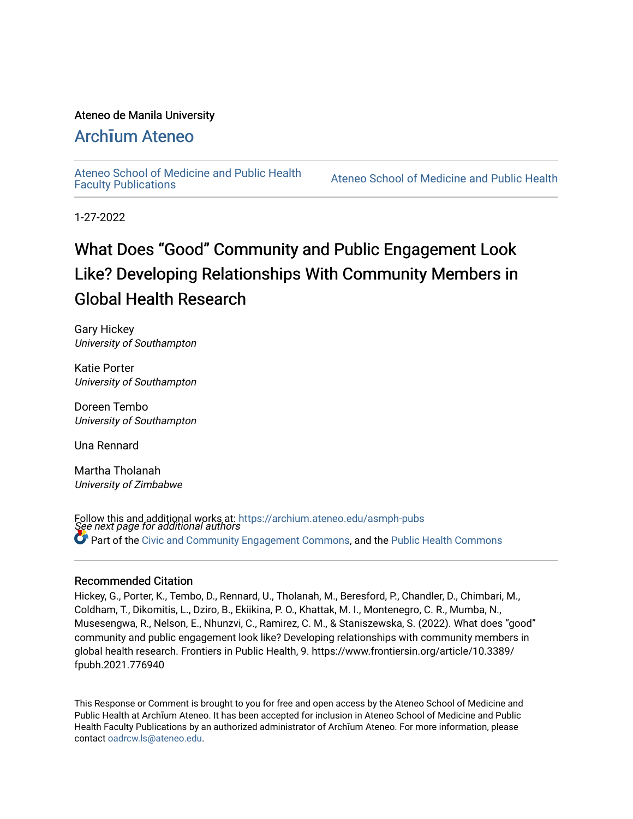#### Ateneo de Manila University

## Arch**ī**[um Ateneo](https://archium.ateneo.edu/)

[Ateneo School of Medicine and Public Health](https://archium.ateneo.edu/asmph-pubs) 

Ateneo School of Medicine and Public Health

1-27-2022

# What Does "Good" Community and Public Engagement Look Like? Developing Relationships With Community Members in Global Health Research

Gary Hickey University of Southampton

Katie Porter University of Southampton

Doreen Tembo University of Southampton

Una Rennard

Martha Tholanah University of Zimbabwe

Follow this and additional works at: https://archium.ateneo.edu/asmph-pubs<br>See next page for additional authors Part of the [Civic and Community Engagement Commons](https://network.bepress.com/hgg/discipline/1028?utm_source=archium.ateneo.edu%2Fasmph-pubs%2F50&utm_medium=PDF&utm_campaign=PDFCoverPages), and the [Public Health Commons](https://network.bepress.com/hgg/discipline/738?utm_source=archium.ateneo.edu%2Fasmph-pubs%2F50&utm_medium=PDF&utm_campaign=PDFCoverPages)

#### Recommended Citation

Hickey, G., Porter, K., Tembo, D., Rennard, U., Tholanah, M., Beresford, P., Chandler, D., Chimbari, M., Coldham, T., Dikomitis, L., Dziro, B., Ekiikina, P. O., Khattak, M. I., Montenegro, C. R., Mumba, N., Musesengwa, R., Nelson, E., Nhunzvi, C., Ramirez, C. M., & Staniszewska, S. (2022). What does "good" community and public engagement look like? Developing relationships with community members in global health research. Frontiers in Public Health, 9. https://www.frontiersin.org/article/10.3389/ fpubh.2021.776940

This Response or Comment is brought to you for free and open access by the Ateneo School of Medicine and Public Health at Archīum Ateneo. It has been accepted for inclusion in Ateneo School of Medicine and Public Health Faculty Publications by an authorized administrator of Archīum Ateneo. For more information, please contact [oadrcw.ls@ateneo.edu](mailto:oadrcw.ls@ateneo.edu).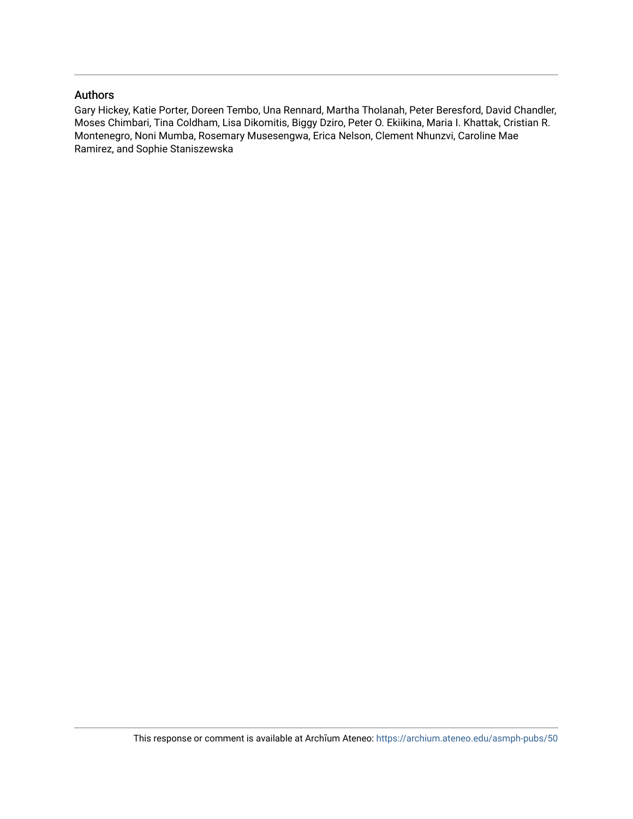#### Authors

Gary Hickey, Katie Porter, Doreen Tembo, Una Rennard, Martha Tholanah, Peter Beresford, David Chandler, Moses Chimbari, Tina Coldham, Lisa Dikomitis, Biggy Dziro, Peter O. Ekiikina, Maria I. Khattak, Cristian R. Montenegro, Noni Mumba, Rosemary Musesengwa, Erica Nelson, Clement Nhunzvi, Caroline Mae Ramirez, and Sophie Staniszewska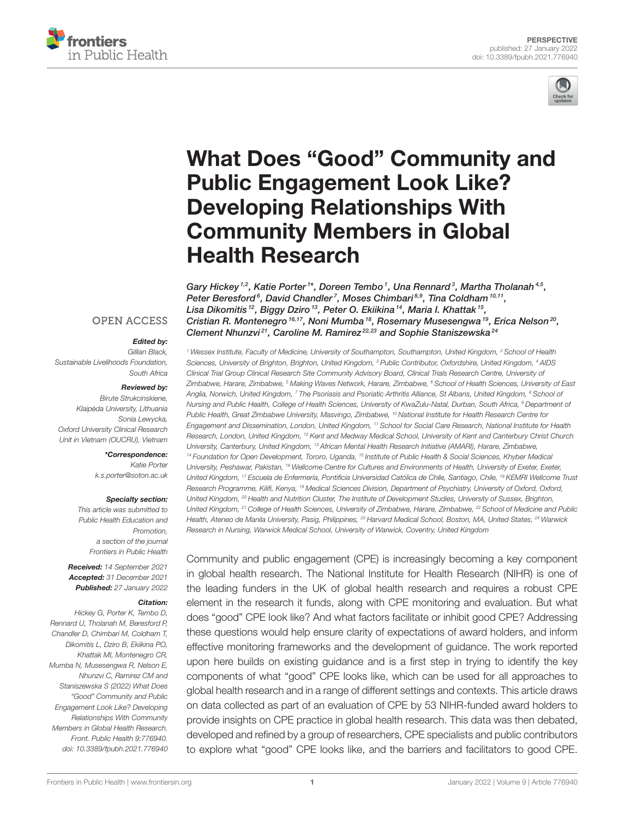



# [What Does "Good" Community and](https://www.frontiersin.org/articles/10.3389/fpubh.2021.776940/full) Public Engagement Look Like? Developing Relationships With Community Members in Global Health Research

Gary Hickey  $^{1,2}$ , Katie Porter  $^{1\star}$ , Doreen Tembo  $^1$ , Una Rennard  $^3$ , Martha Tholanah  $^{4,5}$ , Peter Beresford<sup>6</sup>, David Chandler<sup>7</sup>, Moses Chimbari<sup>8,9</sup>, Tina Coldham<sup>10,11</sup>, Lisa Dikomitis <sup>12</sup>, Biggy Dziro <sup>13</sup>, Peter O. Ekiikina <sup>14</sup>, Maria I. Khattak <sup>15</sup>, Cristian R. Montenegro<sup>16,17</sup>, Noni Mumba<sup>18</sup>, Rosemary Musesengwa<sup>19</sup>, Erica Nelson<sup>20</sup>, Clement Nhunzvi<sup>21</sup>, Caroline M. Ramirez<sup>22,23</sup> and Sophie Staniszewska<sup>24</sup>

#### **OPEN ACCESS**

#### Edited by:

Gillian Black, Sustainable Livelihoods Foundation, South Africa

#### Reviewed by:

Birute Strukcinskiene, Klaipėda University, Lithuania Sonia Lewycka, Oxford University Clinical Research Unit in Vietnam (OUCRU), Vietnam

#### \*Correspondence:

Katie Porter [k.s.porter@soton.ac.uk](mailto:k.s.porter@soton.ac.uk)

#### Specialty section:

This article was submitted to Public Health Education and Promotion, a section of the journal Frontiers in Public Health

Received: 14 September 2021 Accepted: 31 December 2021 Published: 27 January 2022

#### Citation:

Hickey G, Porter K, Tembo D, Rennard U, Tholanah M, Beresford P, Chandler D, Chimbari M, Coldham T, Dikomitis L, Dziro B, Ekiikina PO, Khattak MI, Montenegro CR, Mumba N, Musesengwa R, Nelson E, Nhunzvi C, Ramirez CM and Staniszewska S (2022) What Does "Good" Community and Public Engagement Look Like? Developing Relationships With Community Members in Global Health Research. Front. Public Health 9:776940. doi: [10.3389/fpubh.2021.776940](https://doi.org/10.3389/fpubh.2021.776940)

<sup>1</sup> Wessex Institute, Faculty of Medicine, University of Southampton, Southampton, United Kingdom, <sup>2</sup> School of Health Sciences, University of Brighton, Brighton, United Kingdom, <sup>3</sup> Public Contributor, Oxfordshire, United Kingdom, <sup>4</sup> AIDS Clinical Trial Group Clinical Research Site Community Advisory Board, Clinical Trials Research Centre, University of Zimbabwe, Harare, Zimbabwe, <sup>5</sup> Making Waves Network, Harare, Zimbabwe, <sup>6</sup> School of Health Sciences, University of East Anglia, Norwich, United Kingdom, <sup>7</sup> The Psoriasis and Psoriatic Arthritis Alliance, St Albans, United Kingdom, <sup>8</sup> School of Nursing and Public Health, College of Health Sciences, University of KwaZulu-Natal, Durban, South Africa, <sup>9</sup> Department of Public Health, Great Zimbabwe University, Masvingo, Zimbabwe, <sup>10</sup> National Institute for Health Research Centre for Engagement and Dissemination, London, United Kingdom, <sup>11</sup> School for Social Care Research, National Institute for Health Research, London, United Kingdom, <sup>12</sup> Kent and Medway Medical School, University of Kent and Canterbury Christ Church University, Canterbury, United Kingdom, <sup>13</sup> African Mental Health Research Initiative (AMARI), Harare, Zimbabwe, 14 Foundation for Open Development, Tororo, Uganda, 15 Institute of Public Health & Social Sciences, Khyber Medical University, Peshawar, Pakistan, <sup>16</sup> Wellcome Centre for Cultures and Environments of Health, University of Exeter, Exeter, United Kingdom, <sup>17</sup> Escuela de Enfermería, Pontificia Universidad Católica de Chile, Santiago, Chile, <sup>18</sup> KEMRI Wellcome Trust Research Programme, Kilifi, Kenya, <sup>19</sup> Medical Sciences Division, Department of Psychiatry, University of Oxford, Oxford, United Kingdom, <sup>20</sup> Health and Nutrition Cluster, The Institute of Development Studies, University of Sussex, Brighton, United Kingdom, <sup>21</sup> College of Health Sciences, University of Zimbabwe, Harare, Zimbabwe, <sup>22</sup> School of Medicine and Public Health, Ateneo de Manila University, Pasig, Philippines, <sup>23</sup> Harvard Medical School, Boston, MA. United States. <sup>24</sup> Warwick Research in Nursing, Warwick Medical School, University of Warwick, Coventry, United Kingdom

Community and public engagement (CPE) is increasingly becoming a key component in global health research. The National Institute for Health Research (NIHR) is one of the leading funders in the UK of global health research and requires a robust CPE element in the research it funds, along with CPE monitoring and evaluation. But what does "good" CPE look like? And what factors facilitate or inhibit good CPE? Addressing these questions would help ensure clarity of expectations of award holders, and inform effective monitoring frameworks and the development of guidance. The work reported upon here builds on existing guidance and is a first step in trying to identify the key components of what "good" CPE looks like, which can be used for all approaches to global health research and in a range of different settings and contexts. This article draws on data collected as part of an evaluation of CPE by 53 NIHR-funded award holders to provide insights on CPE practice in global health research. This data was then debated, developed and refined by a group of researchers, CPE specialists and public contributors to explore what "good" CPE looks like, and the barriers and facilitators to good CPE.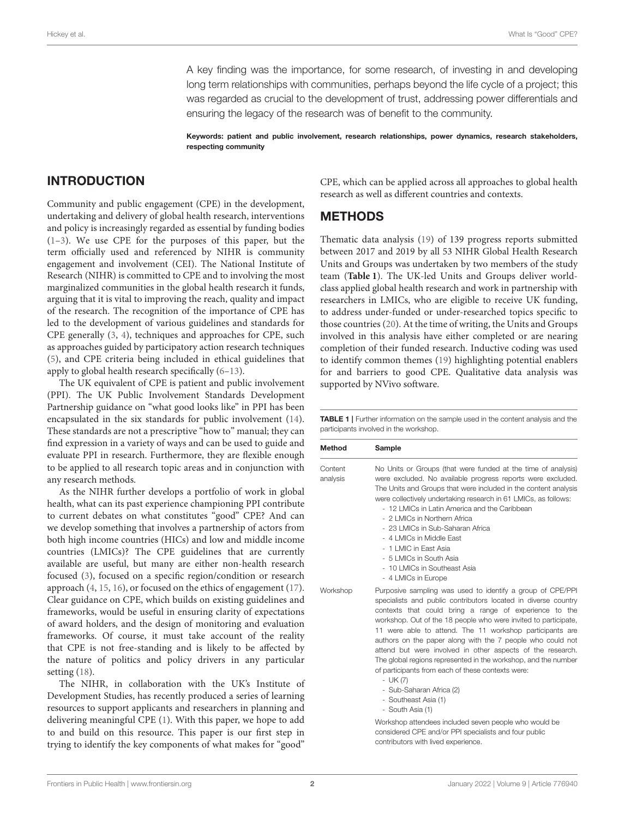A key finding was the importance, for some research, of investing in and developing long term relationships with communities, perhaps beyond the life cycle of a project; this was regarded as crucial to the development of trust, addressing power differentials and ensuring the legacy of the research was of benefit to the community.

Keywords: patient and public involvement, research relationships, power dynamics, research stakeholders, respecting community

#### INTRODUCTION

Community and public engagement (CPE) in the development, undertaking and delivery of global health research, interventions and policy is increasingly regarded as essential by funding bodies [\(1–](#page-7-0)[3\)](#page-7-1). We use CPE for the purposes of this paper, but the term officially used and referenced by NIHR is community engagement and involvement (CEI). The National Institute of Research (NIHR) is committed to CPE and to involving the most marginalized communities in the global health research it funds, arguing that it is vital to improving the reach, quality and impact of the research. The recognition of the importance of CPE has led to the development of various guidelines and standards for CPE generally [\(3,](#page-7-1) [4\)](#page-7-2), techniques and approaches for CPE, such as approaches guided by participatory action research techniques [\(5\)](#page-7-3), and CPE criteria being included in ethical guidelines that apply to global health research specifically [\(6–](#page-7-4)[13\)](#page-8-0).

The UK equivalent of CPE is patient and public involvement (PPI). The UK Public Involvement Standards Development Partnership guidance on "what good looks like" in PPI has been encapsulated in the six standards for public involvement [\(14\)](#page-8-1). These standards are not a prescriptive "how to" manual; they can find expression in a variety of ways and can be used to guide and evaluate PPI in research. Furthermore, they are flexible enough to be applied to all research topic areas and in conjunction with any research methods.

As the NIHR further develops a portfolio of work in global health, what can its past experience championing PPI contribute to current debates on what constitutes "good" CPE? And can we develop something that involves a partnership of actors from both high income countries (HICs) and low and middle income countries (LMICs)? The CPE guidelines that are currently available are useful, but many are either non-health research focused [\(3\)](#page-7-1), focused on a specific region/condition or research approach [\(4,](#page-7-2) [15,](#page-8-2) [16\)](#page-8-3), or focused on the ethics of engagement [\(17\)](#page-8-4). Clear guidance on CPE, which builds on existing guidelines and frameworks, would be useful in ensuring clarity of expectations of award holders, and the design of monitoring and evaluation frameworks. Of course, it must take account of the reality that CPE is not free-standing and is likely to be affected by the nature of politics and policy drivers in any particular setting [\(18\)](#page-8-5).

The NIHR, in collaboration with the UK's Institute of Development Studies, has recently produced a series of learning resources to support applicants and researchers in planning and delivering meaningful CPE [\(1\)](#page-7-0). With this paper, we hope to add to and build on this resource. This paper is our first step in trying to identify the key components of what makes for "good"

CPE, which can be applied across all approaches to global health research as well as different countries and contexts.

#### **METHODS**

Thematic data analysis [\(19\)](#page-8-6) of 139 progress reports submitted between 2017 and 2019 by all 53 NIHR Global Health Research Units and Groups was undertaken by two members of the study team (**[Table 1](#page-3-0)**). The UK-led Units and Groups deliver worldclass applied global health research and work in partnership with researchers in LMICs, who are eligible to receive UK funding, to address under-funded or under-researched topics specific to those countries [\(20\)](#page-8-7). At the time of writing, the Units and Groups involved in this analysis have either completed or are nearing completion of their funded research. Inductive coding was used to identify common themes [\(19\)](#page-8-6) highlighting potential enablers for and barriers to good CPE. Qualitative data analysis was supported by NVivo software.

<span id="page-3-0"></span>TABLE 1 | Further information on the sample used in the content analysis and the participants involved in the workshop.

| <b>Method</b>       | Sample                                                                                                                                                                                                                                                                                                                                                                                                                                                                                                                                                                                                         |  |
|---------------------|----------------------------------------------------------------------------------------------------------------------------------------------------------------------------------------------------------------------------------------------------------------------------------------------------------------------------------------------------------------------------------------------------------------------------------------------------------------------------------------------------------------------------------------------------------------------------------------------------------------|--|
| Content<br>analysis | No Units or Groups (that were funded at the time of analysis)<br>were excluded. No available progress reports were excluded.<br>The Units and Groups that were included in the content analysis<br>were collectively undertaking research in 61 LMICs, as follows:<br>- 12 LMICs in Latin America and the Caribbean<br>- 2 LMICs in Northern Africa<br>- 23 LMICs in Sub-Saharan Africa<br>- 4 LMICs in Middle East<br>- 1   MIC in Fast Asia<br>- 5 LMICs in South Asia<br>- 10 LMICs in Southeast Asia<br>- 4 LMICs in Europe                                                                                |  |
| Workshop            | Purposive sampling was used to identify a group of CPE/PPI<br>specialists and public contributors located in diverse country<br>contexts that could bring a range of experience to the<br>workshop. Out of the 18 people who were invited to participate,<br>11 were able to attend. The 11 workshop participants are<br>authors on the paper along with the 7 people who could not<br>attend but were involved in other aspects of the research.<br>The global regions represented in the workshop, and the number<br>of participants from each of these contexts were:<br>- UK (7)<br>Cub Coboron Africa (0) |  |

- Sub-Saharan Africa (2)
- Southeast Asia (1)
- South Asia (1)

Workshop attendees included seven people who would be considered CPE and/or PPI specialists and four public contributors with lived experience.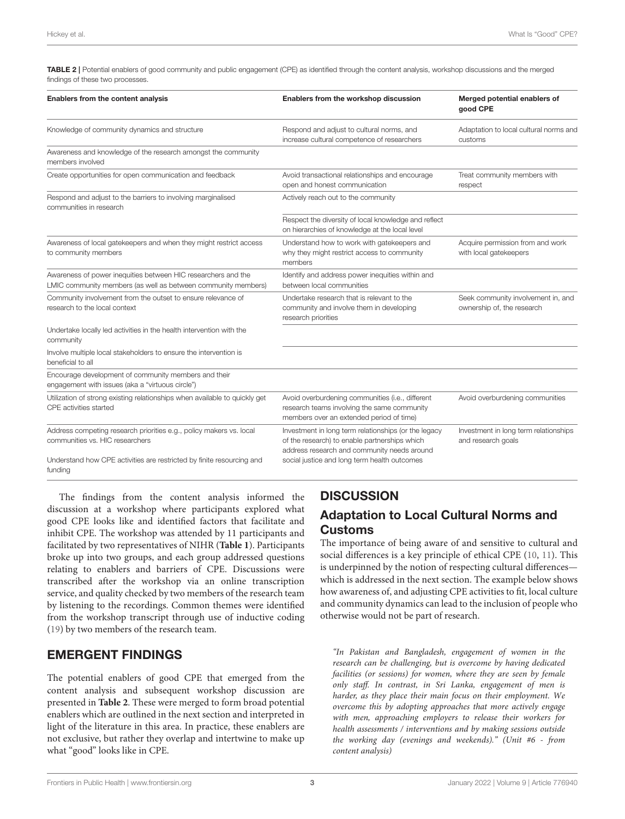<span id="page-4-0"></span>TABLE 2 | Potential enablers of good community and public engagement (CPE) as identified through the content analysis, workshop discussions and the merged findings of these two processes.

| Enablers from the content analysis                                                                                             | Enablers from the workshop discussion                                                                                                                | Merged potential enablers of<br>good CPE                         |
|--------------------------------------------------------------------------------------------------------------------------------|------------------------------------------------------------------------------------------------------------------------------------------------------|------------------------------------------------------------------|
| Knowledge of community dynamics and structure                                                                                  | Respond and adjust to cultural norms, and<br>increase cultural competence of researchers                                                             | Adaptation to local cultural norms and<br>customs                |
| Awareness and knowledge of the research amongst the community<br>members involved                                              |                                                                                                                                                      |                                                                  |
| Create opportunities for open communication and feedback                                                                       | Avoid transactional relationships and encourage<br>open and honest communication                                                                     | Treat community members with<br>respect                          |
| Respond and adjust to the barriers to involving marginalised<br>communities in research                                        | Actively reach out to the community                                                                                                                  |                                                                  |
|                                                                                                                                | Respect the diversity of local knowledge and reflect<br>on hierarchies of knowledge at the local level                                               |                                                                  |
| Awareness of local gatekeepers and when they might restrict access<br>to community members                                     | Understand how to work with gatekeepers and<br>why they might restrict access to community<br>members                                                | Acquire permission from and work<br>with local gatekeepers       |
| Awareness of power inequities between HIC researchers and the<br>LMIC community members (as well as between community members) | Identify and address power inequities within and<br>between local communities                                                                        |                                                                  |
| Community involvement from the outset to ensure relevance of<br>research to the local context                                  | Undertake research that is relevant to the<br>community and involve them in developing<br>research priorities                                        | Seek community involvement in, and<br>ownership of, the research |
| Undertake locally led activities in the health intervention with the<br>community                                              |                                                                                                                                                      |                                                                  |
| Involve multiple local stakeholders to ensure the intervention is<br>beneficial to all                                         |                                                                                                                                                      |                                                                  |
| Encourage development of community members and their<br>engagement with issues (aka a "virtuous circle")                       |                                                                                                                                                      |                                                                  |
| Utilization of strong existing relationships when available to quickly get<br>CPE activities started                           | Avoid overburdening communities (i.e., different<br>research teams involving the same community<br>members over an extended period of time)          | Avoid overburdening communities                                  |
| Address competing research priorities e.g., policy makers vs. local<br>communities vs. HIC researchers                         | Investment in long term relationships (or the legacy<br>of the research) to enable partnerships which<br>address research and community needs around | Investment in long term relationships<br>and research goals      |
| Understand how CPE activities are restricted by finite resourcing and<br>funding                                               | social justice and long term health outcomes                                                                                                         |                                                                  |

The findings from the content analysis informed the discussion at a workshop where participants explored what good CPE looks like and identified factors that facilitate and inhibit CPE. The workshop was attended by 11 participants and facilitated by two representatives of NIHR (**[Table 1](#page-3-0)**). Participants broke up into two groups, and each group addressed questions relating to enablers and barriers of CPE. Discussions were transcribed after the workshop via an online transcription service, and quality checked by two members of the research team by listening to the recordings. Common themes were identified from the workshop transcript through use of inductive coding [\(19\)](#page-8-6) by two members of the research team.

## EMERGENT FINDINGS

The potential enablers of good CPE that emerged from the content analysis and subsequent workshop discussion are presented in **[Table 2](#page-4-0)**. These were merged to form broad potential enablers which are outlined in the next section and interpreted in light of the literature in this area. In practice, these enablers are not exclusive, but rather they overlap and intertwine to make up what "good" looks like in CPE.

## **DISCUSSION**

## Adaptation to Local Cultural Norms and Customs

The importance of being aware of and sensitive to cultural and social differences is a key principle of ethical CPE [\(10,](#page-7-5) [11\)](#page-7-6). This is underpinned by the notion of respecting cultural differences which is addressed in the next section. The example below shows how awareness of, and adjusting CPE activities to fit, local culture and community dynamics can lead to the inclusion of people who otherwise would not be part of research.

"In Pakistan and Bangladesh, engagement of women in the research can be challenging, but is overcome by having dedicated facilities (or sessions) for women, where they are seen by female only staff. In contrast, in Sri Lanka, engagement of men is harder, as they place their main focus on their employment. We overcome this by adopting approaches that more actively engage with men, approaching employers to release their workers for health assessments / interventions and by making sessions outside the working day (evenings and weekends)." (Unit #6 - from content analysis)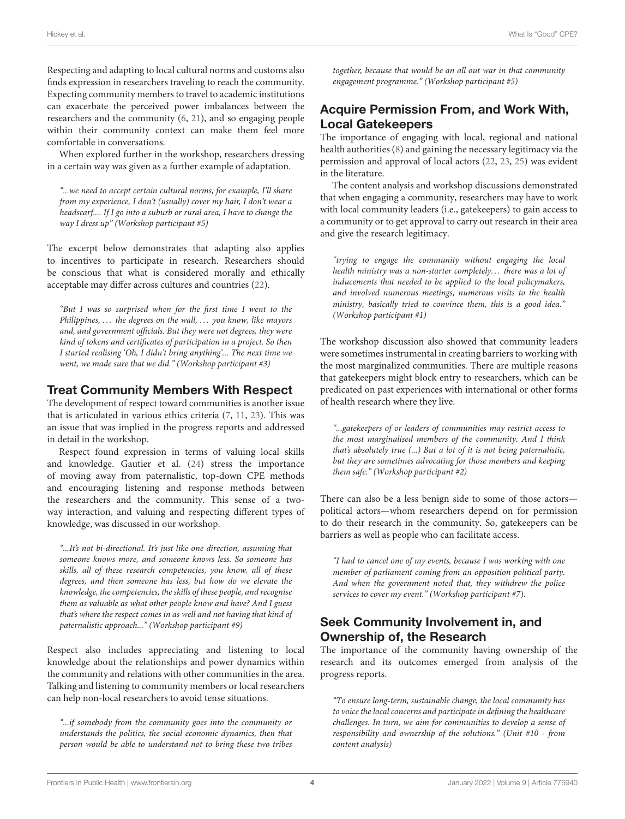Respecting and adapting to local cultural norms and customs also finds expression in researchers traveling to reach the community. Expecting community members to travel to academic institutions can exacerbate the perceived power imbalances between the researchers and the community [\(6,](#page-7-4) [21\)](#page-8-8), and so engaging people within their community context can make them feel more comfortable in conversations.

When explored further in the workshop, researchers dressing in a certain way was given as a further example of adaptation.

"...we need to accept certain cultural norms, for example, I'll share from my experience, I don't (usually) cover my hair, I don't wear a headscarf.... If I go into a suburb or rural area, I have to change the way I dress up" (Workshop participant #5)

The excerpt below demonstrates that adapting also applies to incentives to participate in research. Researchers should be conscious that what is considered morally and ethically acceptable may differ across cultures and countries [\(22\)](#page-8-9).

"But I was so surprised when for the first time I went to the Philippines, ... the degrees on the wall, ... you know, like mayors and, and government officials. But they were not degrees, they were kind of tokens and certificates of participation in a project. So then I started realising 'Oh, I didn't bring anything'... The next time we went, we made sure that we did." (Workshop participant #3)

#### Treat Community Members With Respect

The development of respect toward communities is another issue that is articulated in various ethics criteria [\(7,](#page-7-7) [11,](#page-7-6) [23\)](#page-8-10). This was an issue that was implied in the progress reports and addressed in detail in the workshop.

Respect found expression in terms of valuing local skills and knowledge. Gautier et al. [\(24\)](#page-8-11) stress the importance of moving away from paternalistic, top-down CPE methods and encouraging listening and response methods between the researchers and the community. This sense of a twoway interaction, and valuing and respecting different types of knowledge, was discussed in our workshop.

"...It's not bi-directional. It's just like one direction, assuming that someone knows more, and someone knows less. So someone has skills, all of these research competencies, you know, all of these degrees, and then someone has less, but how do we elevate the knowledge, the competencies, the skills of these people, and recognise them as valuable as what other people know and have? And I guess that's where the respect comes in as well and not having that kind of paternalistic approach..." (Workshop participant #9)

Respect also includes appreciating and listening to local knowledge about the relationships and power dynamics within the community and relations with other communities in the area. Talking and listening to community members or local researchers can help non-local researchers to avoid tense situations.

"...if somebody from the community goes into the community or understands the politics, the social economic dynamics, then that person would be able to understand not to bring these two tribes together, because that would be an all out war in that community engagement programme." (Workshop participant #5)

### Acquire Permission From, and Work With, Local Gatekeepers

The importance of engaging with local, regional and national health authorities [\(8\)](#page-7-8) and gaining the necessary legitimacy via the permission and approval of local actors [\(22,](#page-8-9) [23,](#page-8-10) [25\)](#page-8-12) was evident in the literature.

The content analysis and workshop discussions demonstrated that when engaging a community, researchers may have to work with local community leaders (i.e., gatekeepers) to gain access to a community or to get approval to carry out research in their area and give the research legitimacy.

"trying to engage the community without engaging the local health ministry was a non-starter completely... there was a lot of inducements that needed to be applied to the local policymakers, and involved numerous meetings, numerous visits to the health ministry, basically tried to convince them, this is a good idea." (Workshop participant #1)

The workshop discussion also showed that community leaders were sometimes instrumental in creating barriers to working with the most marginalized communities. There are multiple reasons that gatekeepers might block entry to researchers, which can be predicated on past experiences with international or other forms of health research where they live.

"...gatekeepers of or leaders of communities may restrict access to the most marginalised members of the community. And I think that's absolutely true (...) But a lot of it is not being paternalistic, but they are sometimes advocating for those members and keeping them safe." (Workshop participant #2)

There can also be a less benign side to some of those actors political actors—whom researchers depend on for permission to do their research in the community. So, gatekeepers can be barriers as well as people who can facilitate access.

"I had to cancel one of my events, because I was working with one member of parliament coming from an opposition political party. And when the government noted that, they withdrew the police services to cover my event." (Workshop participant #7).

## Seek Community Involvement in, and Ownership of, the Research

The importance of the community having ownership of the research and its outcomes emerged from analysis of the progress reports.

"To ensure long-term, sustainable change, the local community has to voice the local concerns and participate in defining the healthcare challenges. In turn, we aim for communities to develop a sense of responsibility and ownership of the solutions." (Unit #10 - from content analysis)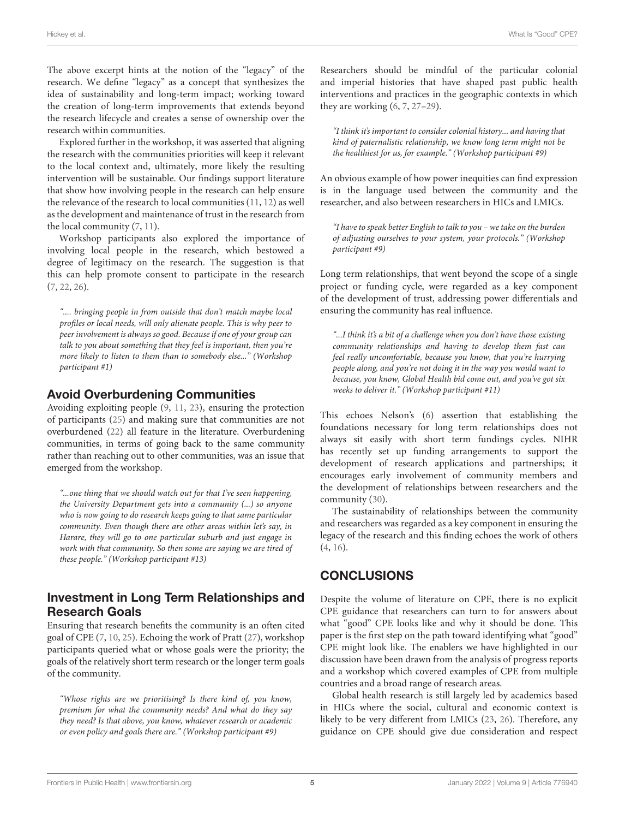The above excerpt hints at the notion of the "legacy" of the research. We define "legacy" as a concept that synthesizes the idea of sustainability and long-term impact; working toward the creation of long-term improvements that extends beyond the research lifecycle and creates a sense of ownership over the research within communities.

Explored further in the workshop, it was asserted that aligning the research with the communities priorities will keep it relevant to the local context and, ultimately, more likely the resulting intervention will be sustainable. Our findings support literature that show how involving people in the research can help ensure the relevance of the research to local communities [\(11,](#page-7-6) [12\)](#page-7-9) as well as the development and maintenance of trust in the research from the local community [\(7,](#page-7-7) [11\)](#page-7-6).

Workshop participants also explored the importance of involving local people in the research, which bestowed a degree of legitimacy on the research. The suggestion is that this can help promote consent to participate in the research [\(7,](#page-7-7) [22,](#page-8-9) [26\)](#page-8-13).

".... bringing people in from outside that don't match maybe local profiles or local needs, will only alienate people. This is why peer to peer involvement is always so good. Because if one of your group can talk to you about something that they feel is important, then you're more likely to listen to them than to somebody else..." (Workshop participant #1)

#### Avoid Overburdening Communities

Avoiding exploiting people [\(9,](#page-7-10) [11,](#page-7-6) [23\)](#page-8-10), ensuring the protection of participants [\(25\)](#page-8-12) and making sure that communities are not overburdened [\(22\)](#page-8-9) all feature in the literature. Overburdening communities, in terms of going back to the same community rather than reaching out to other communities, was an issue that emerged from the workshop.

"...one thing that we should watch out for that I've seen happening, the University Department gets into a community (...) so anyone who is now going to do research keeps going to that same particular community. Even though there are other areas within let's say, in Harare, they will go to one particular suburb and just engage in work with that community. So then some are saying we are tired of these people." (Workshop participant #13)

#### Investment in Long Term Relationships and Research Goals

Ensuring that research benefits the community is an often cited goal of CPE [\(7,](#page-7-7) [10,](#page-7-5) [25\)](#page-8-12). Echoing the work of Pratt [\(27\)](#page-8-14), workshop participants queried what or whose goals were the priority; the goals of the relatively short term research or the longer term goals of the community.

"Whose rights are we prioritising? Is there kind of, you know, premium for what the community needs? And what do they say they need? Is that above, you know, whatever research or academic or even policy and goals there are." (Workshop participant #9)

Researchers should be mindful of the particular colonial and imperial histories that have shaped past public health interventions and practices in the geographic contexts in which they are working [\(6,](#page-7-4) [7,](#page-7-7) [27](#page-8-14)[–29\)](#page-8-15).

"I think it's important to consider colonial history... and having that kind of paternalistic relationship, we know long term might not be the healthiest for us, for example." (Workshop participant #9)

An obvious example of how power inequities can find expression is in the language used between the community and the researcher, and also between researchers in HICs and LMICs.

"I have to speak better English to talk to you – we take on the burden of adjusting ourselves to your system, your protocols." (Workshop participant #9)

Long term relationships, that went beyond the scope of a single project or funding cycle, were regarded as a key component of the development of trust, addressing power differentials and ensuring the community has real influence.

"...I think it's a bit of a challenge when you don't have those existing community relationships and having to develop them fast can feel really uncomfortable, because you know, that you're hurrying people along, and you're not doing it in the way you would want to because, you know, Global Health bid come out, and you've got six weeks to deliver it." (Workshop participant #11)

This echoes Nelson's [\(6\)](#page-7-4) assertion that establishing the foundations necessary for long term relationships does not always sit easily with short term fundings cycles. NIHR has recently set up funding arrangements to support the development of research applications and partnerships; it encourages early involvement of community members and the development of relationships between researchers and the community [\(30\)](#page-8-16).

The sustainability of relationships between the community and researchers was regarded as a key component in ensuring the legacy of the research and this finding echoes the work of others [\(4,](#page-7-2) [16\)](#page-8-3).

## **CONCLUSIONS**

Despite the volume of literature on CPE, there is no explicit CPE guidance that researchers can turn to for answers about what "good" CPE looks like and why it should be done. This paper is the first step on the path toward identifying what "good" CPE might look like. The enablers we have highlighted in our discussion have been drawn from the analysis of progress reports and a workshop which covered examples of CPE from multiple countries and a broad range of research areas.

Global health research is still largely led by academics based in HICs where the social, cultural and economic context is likely to be very different from LMICs [\(23,](#page-8-10) [26\)](#page-8-13). Therefore, any guidance on CPE should give due consideration and respect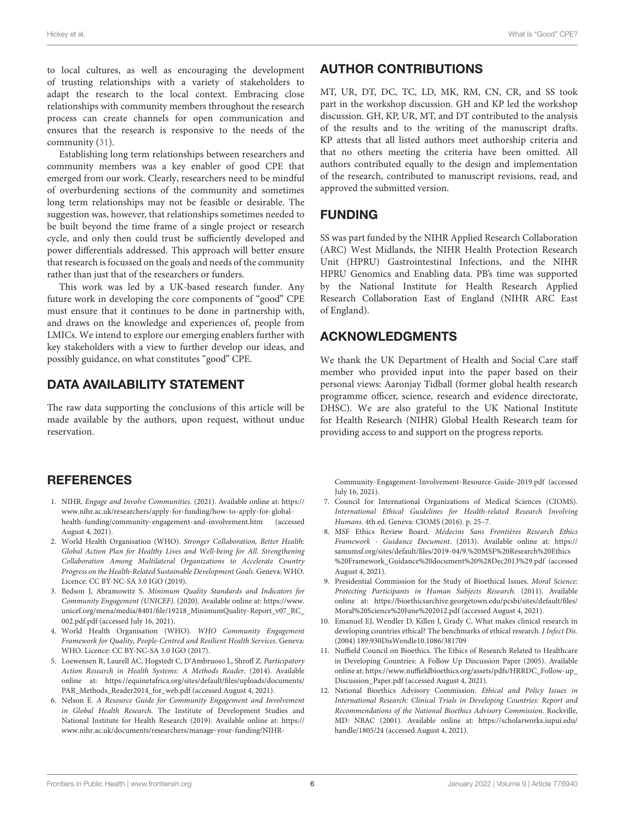to local cultures, as well as encouraging the development of trusting relationships with a variety of stakeholders to adapt the research to the local context. Embracing close relationships with community members throughout the research process can create channels for open communication and ensures that the research is responsive to the needs of the community [\(31\)](#page-8-17).

Establishing long term relationships between researchers and community members was a key enabler of good CPE that emerged from our work. Clearly, researchers need to be mindful of overburdening sections of the community and sometimes long term relationships may not be feasible or desirable. The suggestion was, however, that relationships sometimes needed to be built beyond the time frame of a single project or research cycle, and only then could trust be sufficiently developed and power differentials addressed. This approach will better ensure that research is focussed on the goals and needs of the community rather than just that of the researchers or funders.

This work was led by a UK-based research funder. Any future work in developing the core components of "good" CPE must ensure that it continues to be done in partnership with, and draws on the knowledge and experiences of, people from LMICs. We intend to explore our emerging enablers further with key stakeholders with a view to further develop our ideas, and possibly guidance, on what constitutes "good" CPE.

#### DATA AVAILABILITY STATEMENT

The raw data supporting the conclusions of this article will be made available by the authors, upon request, without undue reservation.

#### **REFERENCES**

- <span id="page-7-0"></span>1. NIHR. Engage and Involve Communities. (2021). Available online at: [https://](https://www.nihr.ac.uk/researchers/apply-for-funding/how-to-apply-for-global-health-funding/community-engagement-and-involvement.htm) [www.nihr.ac.uk/researchers/apply-for-funding/how-to-apply-for-global](https://www.nihr.ac.uk/researchers/apply-for-funding/how-to-apply-for-global-health-funding/community-engagement-and-involvement.htm)[health-funding/community-engagement-and-involvement.htm](https://www.nihr.ac.uk/researchers/apply-for-funding/how-to-apply-for-global-health-funding/community-engagement-and-involvement.htm) (accessed August 4, 2021).
- 2. World Health Organisation (WHO). Stronger Collaboration, Better Health: Global Action Plan for Healthy Lives and Well-being for All. Strengthening Collaboration Among Multilateral Organizations to Accelerate Country Progress on the Health-Related Sustainable Development Goals. Geneva: WHO. Licence: CC BY-NC-SA 3.0 IGO (2019).
- <span id="page-7-1"></span>3. Bedson J, Abramowitz S. Minimum Quality Standards and Indicators for Community Engagement (UNICEF). (2020). Available online at: [https://www.](https://www.unicef.org/mena/media/8401/file/19218_MinimumQuality-Report_v07_RC_002.pdf.pdf) [unicef.org/mena/media/8401/file/19218\\_MinimumQuality-Report\\_v07\\_RC\\_](https://www.unicef.org/mena/media/8401/file/19218_MinimumQuality-Report_v07_RC_002.pdf.pdf) [002.pdf.pdf](https://www.unicef.org/mena/media/8401/file/19218_MinimumQuality-Report_v07_RC_002.pdf.pdf) (accessed July 16, 2021).
- <span id="page-7-2"></span>4. World Health Organisation (WHO). WHO Community Engagement Framework for Quality, People-Centred and Resilient Health Services. Geneva: WHO. Licence: CC BY-NC-SA 3.0 IGO (2017).
- <span id="page-7-3"></span>5. Loewensen R, Laurell AC, Hogstedt C, D'Ambruoso L, Shroff Z. Participatory Action Research in Health Systems: A Methods Reader. (2014). Available online at: [https://equinetafrica.org/sites/default/files/uploads/documents/](https://equinetafrica.org/sites/default/files/uploads/documents/PAR_Methods_Reader2014_for_web.pdf) [PAR\\_Methods\\_Reader2014\\_for\\_web.pdf](https://equinetafrica.org/sites/default/files/uploads/documents/PAR_Methods_Reader2014_for_web.pdf) (accessed August 4, 2021).
- <span id="page-7-4"></span>6. Nelson E. A Resource Guide for Community Engagement and Involvement in Global Health Research. The Institute of Development Studies and National Institute for Health Research (2019). Available online at: [https://](https://www.nihr.ac.uk/documents/researchers/manage-your-funding/NIHR-Community-Engagement-Involvement-Resource-Guide-2019.pdf) [www.nihr.ac.uk/documents/researchers/manage-your-funding/NIHR-](https://www.nihr.ac.uk/documents/researchers/manage-your-funding/NIHR-Community-Engagement-Involvement-Resource-Guide-2019.pdf)

## AUTHOR CONTRIBUTIONS

MT, UR, DT, DC, TC, LD, MK, RM, CN, CR, and SS took part in the workshop discussion. GH and KP led the workshop discussion. GH, KP, UR, MT, and DT contributed to the analysis of the results and to the writing of the manuscript drafts. KP attests that all listed authors meet authorship criteria and that no others meeting the criteria have been omitted. All authors contributed equally to the design and implementation of the research, contributed to manuscript revisions, read, and approved the submitted version.

#### FUNDING

SS was part funded by the NIHR Applied Research Collaboration (ARC) West Midlands, the NIHR Health Protection Research Unit (HPRU) Gastrointestinal Infections, and the NIHR HPRU Genomics and Enabling data. PB's time was supported by the National Institute for Health Research Applied Research Collaboration East of England (NIHR ARC East of England).

## ACKNOWLEDGMENTS

We thank the UK Department of Health and Social Care staff member who provided input into the paper based on their personal views: Aaronjay Tidball (former global health research programme officer, science, research and evidence directorate, DHSC). We are also grateful to the UK National Institute for Health Research (NIHR) Global Health Research team for providing access to and support on the progress reports.

[Community-Engagement-Involvement-Resource-Guide-2019.pdf](https://www.nihr.ac.uk/documents/researchers/manage-your-funding/NIHR-Community-Engagement-Involvement-Resource-Guide-2019.pdf) (accessed July 16, 2021).

- <span id="page-7-7"></span>7. Council for International Organizations of Medical Sciences (CIOMS). International Ethical Guidelines for Health-related Research Involving Humans. 4th ed. Geneva: CIOMS (2016). p. 25–7.
- <span id="page-7-8"></span>8. MSF Ethics Review Board. Médecins Sans Frontières Research Ethics Framework - Guidance Document. (2013). Available online at: [https://](https://samumsf.org/sites/default/files/2019-04/9.%20MSF%20Research%20Ethics%20Framework_Guidance%20document%20%28Dec2013%29.pdf) [samumsf.org/sites/default/files/2019-04/9.%20MSF%20Research%20Ethics](https://samumsf.org/sites/default/files/2019-04/9.%20MSF%20Research%20Ethics%20Framework_Guidance%20document%20%28Dec2013%29.pdf) [%20Framework\\_Guidance%20document%20%28Dec2013%29.pdf](https://samumsf.org/sites/default/files/2019-04/9.%20MSF%20Research%20Ethics%20Framework_Guidance%20document%20%28Dec2013%29.pdf) (accessed August 4, 2021).
- <span id="page-7-10"></span>9. Presidential Commission for the Study of Bioethical Issues. Moral Science: Protecting Participants in Human Subjects Research. (2011). Available online at: [https://bioethicsarchive.georgetown.edu/pcsbi/sites/default/files/](https://bioethicsarchive.georgetown.edu/pcsbi/sites/default/files/Moral%20Science%20June%202012.pdf) [Moral%20Science%20June%202012.pdf](https://bioethicsarchive.georgetown.edu/pcsbi/sites/default/files/Moral%20Science%20June%202012.pdf) (accessed August 4, 2021).
- <span id="page-7-5"></span>10. Emanuel EJ, Wendler D, Killen J, Grady C. What makes clinical research in developing countries ethical? The benchmarks of ethical research. J Infect Dis. (2004) 189:930DisWendle10.1086/381709
- <span id="page-7-6"></span>11. Nuffield Council on Bioethics. The Ethics of Research Related to Healthcare in Developing Countries: A Follow Up Discussion Paper (2005). Available online at: [https://www.nuffieldbioethics.org/assets/pdfs/HRRDC\\_Follow-up\\_](https://www.nuffieldbioethics.org/assets/pdfs/HRRDC_Follow-up_Discussion_Paper.pdf) [Discussion\\_Paper.pdf](https://www.nuffieldbioethics.org/assets/pdfs/HRRDC_Follow-up_Discussion_Paper.pdf) (accessed August 4, 2021).
- <span id="page-7-9"></span>12. National Bioethics Advisory Commission. Ethical and Policy Issues in International Research: Clinical Trials in Developing Countries: Report and Recommendations of the National Bioethics Advisory Commission. Rockville, MD: NBAC (2001). Available online at: [https://scholarworks.iupui.edu/](https://scholarworks.iupui.edu/handle/1805/24) [handle/1805/24](https://scholarworks.iupui.edu/handle/1805/24) (accessed August 4, 2021).